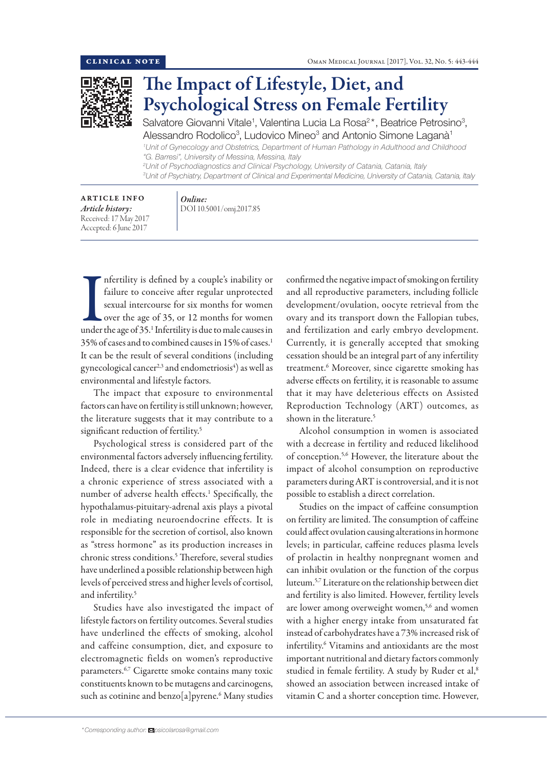

## The Impact of Lifestyle, Diet, and Psychological Stress on Female Fertility

Salvatore Giovanni Vitale<sup>1</sup>, Valentina Lucia La Rosa<sup>2\*</sup>, Beatrice Petrosino<sup>3</sup>, Alessandro Rodolico<sup>3</sup>, Ludovico Mineo<sup>3</sup> and Antonio Simone Laganà<sup>1</sup>

<sup>1</sup>Unit of Gynecology and Obstetrics, Department of Human Pathology in Adulthood and Childhood *"G. Barresi", University of Messina, Messina, Italy*

*2 Unit of Psychodiagnostics and Clinical Psychology, University of Catania, Catania, Italy 3 Unit of Psychiatry, Department of Clinical and Experimental Medicine, University of Catania, Catania, Italy*

ARTICLE INFO *Article history:* Received: 17 May 2017 Accepted: 6 June 2017

## *Online:* DOI 10.5001/omj.2017.85

Infertility is defined by a couple's inability or<br>failure to conceive after regular unprotected<br>sexual intercourse for six months for women<br>over the age of 35, or 12 months for women<br>under the age of 35.<sup>1</sup> Infertility is nfertility is defined by a couple's inability or failure to conceive after regular unprotected sexual intercourse for six months for women over the age of 35, or 12 months for women 35% of cases and to combined causes in 15% of cases.1 It can be the result of several conditions (including gynecological cancer<sup>2,3</sup> and endometriosis<sup>4</sup>) as well as environmental and lifestyle factors.

The impact that exposure to environmental factors can have on fertility is still unknown; however, the literature suggests that it may contribute to a significant reduction of fertility.<sup>5</sup>

Psychological stress is considered part of the environmental factors adversely influencing fertility. Indeed, there is a clear evidence that infertility is a chronic experience of stress associated with a number of adverse health effects.<sup>1</sup> Specifically, the hypothalamus-pituitary-adrenal axis plays a pivotal role in mediating neuroendocrine effects. It is responsible for the secretion of cortisol, also known as "stress hormone" as its production increases in chronic stress conditions.<sup>5</sup> Therefore, several studies have underlined a possible relationship between high levels of perceived stress and higher levels of cortisol, and infertility.<sup>5</sup>

Studies have also investigated the impact of lifestyle factors on fertility outcomes. Several studies have underlined the effects of smoking, alcohol and caffeine consumption, diet, and exposure to electromagnetic fields on women's reproductive parameters.<sup>6,7</sup> Cigarette smoke contains many toxic constituents known to be mutagens and carcinogens, such as cotinine and benzo[a]pyrene.<sup>6</sup> Many studies

confirmed the negative impact of smoking on fertility and all reproductive parameters, including follicle development/ovulation, oocyte retrieval from the ovary and its transport down the Fallopian tubes, and fertilization and early embryo development. Currently, it is generally accepted that smoking cessation should be an integral part of any infertility treatment.<sup>6</sup> Moreover, since cigarette smoking has adverse effects on fertility, it is reasonable to assume that it may have deleterious effects on Assisted Reproduction Technology (ART) outcomes, as shown in the literature.<sup>5</sup>

Alcohol consumption in women is associated with a decrease in fertility and reduced likelihood of conception.5,6 However, the literature about the impact of alcohol consumption on reproductive parameters during ART is controversial, and it is not possible to establish a direct correlation.

Studies on the impact of caffeine consumption on fertility are limited. The consumption of caffeine could affect ovulation causing alterations in hormone levels; in particular, caffeine reduces plasma levels of prolactin in healthy nonpregnant women and can inhibit ovulation or the function of the corpus luteum.5,7 Literature on the relationship between diet and fertility is also limited. However, fertility levels are lower among overweight women,<sup>5,6</sup> and women with a higher energy intake from unsaturated fat instead of carbohydrates have a 73% increased risk of infertility.6 Vitamins and antioxidants are the most important nutritional and dietary factors commonly studied in female fertility. A study by Ruder et al,<sup>8</sup> showed an association between increased intake of vitamin C and a shorter conception time. However,